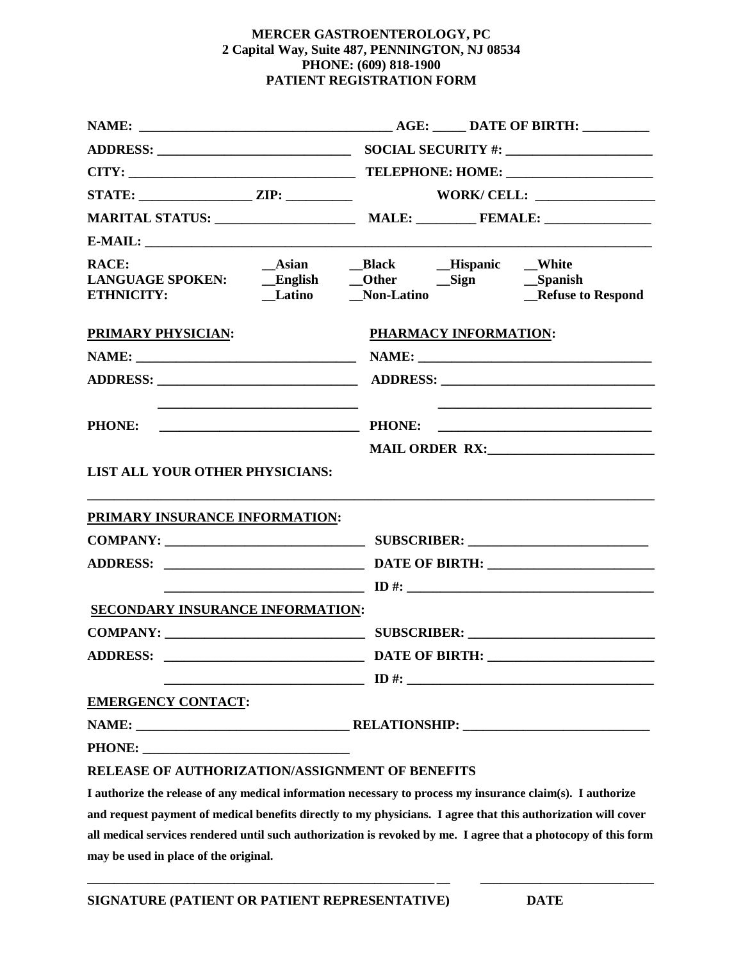#### **MERCER GASTROENTEROLOGY, PC 2 Capital Way, Suite 487, PENNINGTON, NJ 08534 PHONE: (609) 818-1900 PATIENT REGISTRATION FORM**

| CITY:                                           |                                                                                                                      |
|-------------------------------------------------|----------------------------------------------------------------------------------------------------------------------|
|                                                 |                                                                                                                      |
|                                                 |                                                                                                                      |
|                                                 |                                                                                                                      |
| <b>RACE:</b>                                    | $\sqrt{\phantom{a}}$ Non-Latino<br><b>Refuse to Respond</b>                                                          |
| <b>PRIMARY PHYSICIAN:</b>                       | PHARMACY INFORMATION:                                                                                                |
|                                                 |                                                                                                                      |
|                                                 |                                                                                                                      |
| <b>PHONE:</b>                                   | <u> 2000 - Jan James James Jan James James James James James James James James James James James James James Jam</u> |
| LIST ALL YOUR OTHER PHYSICIANS:                 |                                                                                                                      |
| PRIMARY INSURANCE INFORMATION:                  |                                                                                                                      |
|                                                 |                                                                                                                      |
|                                                 |                                                                                                                      |
| <b>SECONDARY INSURANCE INFORMATION:</b>         |                                                                                                                      |
|                                                 | SUBSCRIBER: New York SUBSCRIBER:                                                                                     |
| <b>ADDRESS:</b>                                 | <b>DATE OF BIRTH:</b>                                                                                                |
|                                                 | $\Box$                                                                                                               |
| <b>EMERGENCY CONTACT:</b>                       |                                                                                                                      |
|                                                 |                                                                                                                      |
|                                                 |                                                                                                                      |
| RELEASE OF AUTHORIZATION/ASSIGNMENT OF BENEFITS |                                                                                                                      |
|                                                 | I authorize the release of any medical information necessary to process my insurance claim(s). I authorize           |
|                                                 | t a convent of constitution that the direction to me about from Trace that the cost collected                        |

**and request payment of medical benefits directly to my physicians. I agree that this authorization will cover all medical services rendered until such authorization is revoked by me. I agree that a photocopy of this form may be used in place of the original.**

**\_\_\_\_\_\_\_\_\_\_\_\_\_\_\_\_\_\_\_\_\_\_\_\_\_\_\_\_\_\_\_\_\_\_\_\_\_\_\_\_\_\_\_\_\_\_\_\_\_\_\_\_ \_\_ \_\_\_\_\_\_\_\_\_\_\_\_\_\_\_\_\_\_\_\_\_\_\_\_\_\_**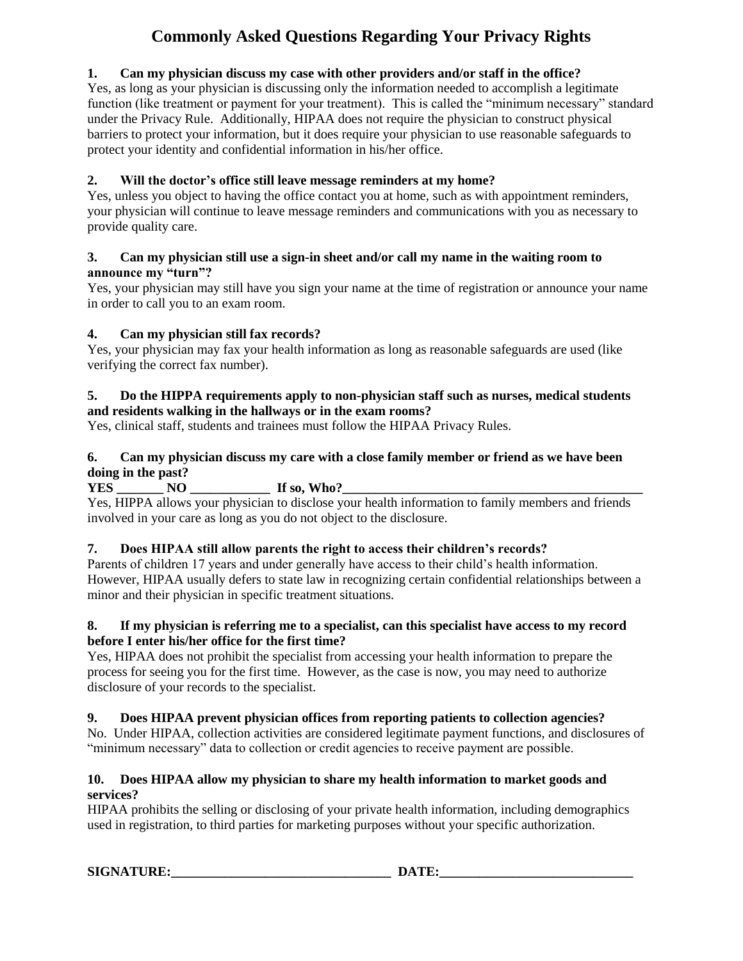# **Commonly Asked Questions Regarding Your Privacy Rights**

# **1. Can my physician discuss my case with other providers and/or staff in the office?**

Yes, as long as your physician is discussing only the information needed to accomplish a legitimate function (like treatment or payment for your treatment). This is called the "minimum necessary" standard under the Privacy Rule. Additionally, HIPAA does not require the physician to construct physical barriers to protect your information, but it does require your physician to use reasonable safeguards to protect your identity and confidential information in his/her office.

# **2. Will the doctor's office still leave message reminders at my home?**

Yes, unless you object to having the office contact you at home, such as with appointment reminders, your physician will continue to leave message reminders and communications with you as necessary to provide quality care.

#### **3. Can my physician still use a sign-in sheet and/or call my name in the waiting room to announce my "turn"?**

Yes, your physician may still have you sign your name at the time of registration or announce your name in order to call you to an exam room.

## **4. Can my physician still fax records?**

Yes, your physician may fax your health information as long as reasonable safeguards are used (like verifying the correct fax number).

#### **5. Do the HIPPA requirements apply to non-physician staff such as nurses, medical students and residents walking in the hallways or in the exam rooms?**

Yes, clinical staff, students and trainees must follow the HIPAA Privacy Rules.

## **6. Can my physician discuss my care with a close family member or friend as we have been doing in the past?**

**YES \_\_\_\_\_\_\_ NO \_\_\_\_\_\_\_\_\_\_\_\_ If so, Who?\_\_\_\_\_\_\_\_\_\_\_\_\_\_\_\_\_\_\_\_\_\_\_\_\_\_\_\_\_\_\_\_\_\_\_\_\_\_\_\_\_\_\_\_\_**

Yes, HIPPA allows your physician to disclose your health information to family members and friends involved in your care as long as you do not object to the disclosure.

## **7. Does HIPAA still allow parents the right to access their children's records?**

Parents of children 17 years and under generally have access to their child's health information. However, HIPAA usually defers to state law in recognizing certain confidential relationships between a minor and their physician in specific treatment situations.

#### **8. If my physician is referring me to a specialist, can this specialist have access to my record before I enter his/her office for the first time?**

Yes, HIPAA does not prohibit the specialist from accessing your health information to prepare the process for seeing you for the first time. However, as the case is now, you may need to authorize disclosure of your records to the specialist.

# **9. Does HIPAA prevent physician offices from reporting patients to collection agencies?**

No. Under HIPAA, collection activities are considered legitimate payment functions, and disclosures of "minimum necessary" data to collection or credit agencies to receive payment are possible.

## **10. Does HIPAA allow my physician to share my health information to market goods and services?**

HIPAA prohibits the selling or disclosing of your private health information, including demographics used in registration, to third parties for marketing purposes without your specific authorization.

**SIGNATURE:** DATE: